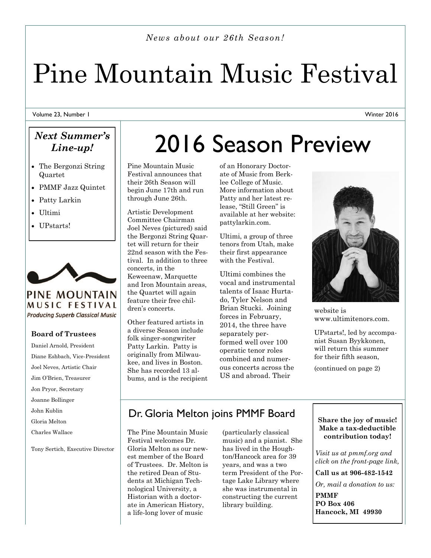*News about our 26th Season!*

# Pine Mountain Music Festival

Volume 23, Number 1

### *Next Summer's Line-up!*

- The Bergonzi String Quartet
- PMMF Jazz Quintet
- Patty Larkin
- Ultimi
- UPstarts!



**PINE MOUNTAIN** MUSIC FESTIVAL **Producing Superb Classical Music** 

#### **Board of Trustees**

Daniel Arnold, President Diane Eshbach, Vice-President Joel Neves, Artistic Chair Jim O'Brien, Treasurer Jon Pryor, Secretary Joanne Bollinger John Kublin Gloria Melton Charles Wallace Tony Sertich, Executive Director

## 2016 Season Preview

Pine Mountain Music Festival announces that their 26th Season will begin June 17th and run through June 26th.

Artistic Development Committee Chairman Joel Neves (pictured) said the Bergonzi String Quartet will return for their 22nd season with the Festival. In addition to three concerts, in the Keweenaw, Marquette and Iron Mountain areas, the Quartet will again feature their free children's concerts.

Other featured artists in a diverse Season include folk singer-songwriter Patty Larkin. Patty is originally from Milwaukee, and lives in Boston. She has recorded 13 albums, and is the recipient of an Honorary Doctorate of Music from Berklee College of Music. More information about Patty and her latest release, "Still Green" is available at her website: pattylarkin.com.

Ultimi, a group of three tenors from Utah, make their first appearance with the Festival.

Ultimi combines the vocal and instrumental talents of Isaac Hurtado, Tyler Nelson and Brian Stucki. Joining forces in February, 2014, the three have separately performed well over 100 operatic tenor roles combined and numerous concerts across the US and abroad. Their



website is www.ultimitenors.com.

UPstarts!, led by accompanist Susan Byykkonen, will return this summer for their fifth season,

(continued on page 2)

### Dr. Gloria Melton joins PMMF Board

The Pine Mountain Music Festival welcomes Dr. Gloria Melton as our newest member of the Board of Trustees. Dr. Melton is the retired Dean of Students at Michigan Technological University, a Historian with a doctorate in American History, a life-long lover of music

(particularly classical music) and a pianist. She has lived in the Houghton/Hancock area for 39 years, and was a two term President of the Portage Lake Library where she was instrumental in constructing the current library building.

#### **Share the joy of music! Make a tax-deductible contribution today!**

*Visit us at pmmf.org and click on the front-page link,*

**Call us at 906-482-1542**

*Or, mail a donation to us:*

**PMMF PO Box 406 Hancock, MI 49930**

Winter 2016